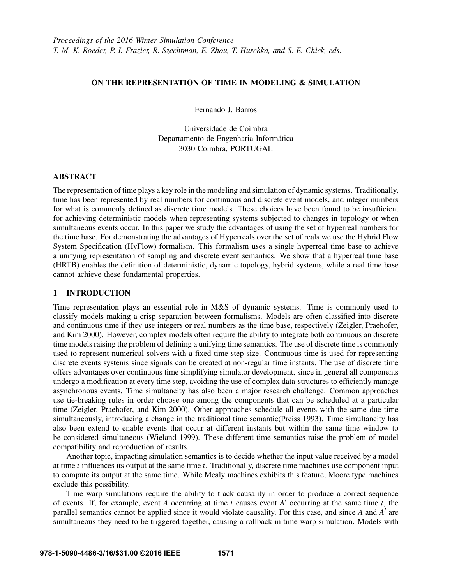## ON THE REPRESENTATION OF TIME IN MODELING & SIMULATION

Fernando J. Barros

Universidade de Coimbra Departamento de Engenharia Informática 3030 Coimbra, PORTUGAL

## ABSTRACT

The representation of time plays a key role in the modeling and simulation of dynamic systems. Traditionally, time has been represented by real numbers for continuous and discrete event models, and integer numbers for what is commonly defined as discrete time models. These choices have been found to be insufficient for achieving deterministic models when representing systems subjected to changes in topology or when simultaneous events occur. In this paper we study the advantages of using the set of hyperreal numbers for the time base. For demonstrating the advantages of Hyperreals over the set of reals we use the Hybrid Flow System Specification (HyFlow) formalism. This formalism uses a single hyperreal time base to achieve a unifying representation of sampling and discrete event semantics. We show that a hyperreal time base (HRTB) enables the definition of deterministic, dynamic topology, hybrid systems, while a real time base cannot achieve these fundamental properties.

## 1 INTRODUCTION

Time representation plays an essential role in M&S of dynamic systems. Time is commonly used to classify models making a crisp separation between formalisms. Models are often classified into discrete and continuous time if they use integers or real numbers as the time base, respectively (Zeigler, Praehofer, and Kim 2000). However, complex models often require the ability to integrate both continuous an discrete time models raising the problem of defining a unifying time semantics. The use of discrete time is commonly used to represent numerical solvers with a fixed time step size. Continuous time is used for representing discrete events systems since signals can be created at non-regular time instants. The use of discrete time offers advantages over continuous time simplifying simulator development, since in general all components undergo a modification at every time step, avoiding the use of complex data-structures to efficiently manage asynchronous events. Time simultaneity has also been a major research challenge. Common approaches use tie-breaking rules in order choose one among the components that can be scheduled at a particular time (Zeigler, Praehofer, and Kim 2000). Other approaches schedule all events with the same due time simultaneously, introducing a change in the traditional time semantic(Preiss 1993). Time simultaneity has also been extend to enable events that occur at different instants but within the same time window to be considered simultaneous (Wieland 1999). These different time semantics raise the problem of model compatibility and reproduction of results.

Another topic, impacting simulation semantics is to decide whether the input value received by a model at time *t* influences its output at the same time *t*. Traditionally, discrete time machines use component input to compute its output at the same time. While Mealy machines exhibits this feature, Moore type machines exclude this possibility.

Time warp simulations require the ability to track causality in order to produce a correct sequence of events. If, for example, event *A* occurring at time *t* causes event *A* <sup>0</sup> occurring at the same time *t*, the parallel semantics cannot be applied since it would violate causality. For this case, and since *A* and *A'* are simultaneous they need to be triggered together, causing a rollback in time warp simulation. Models with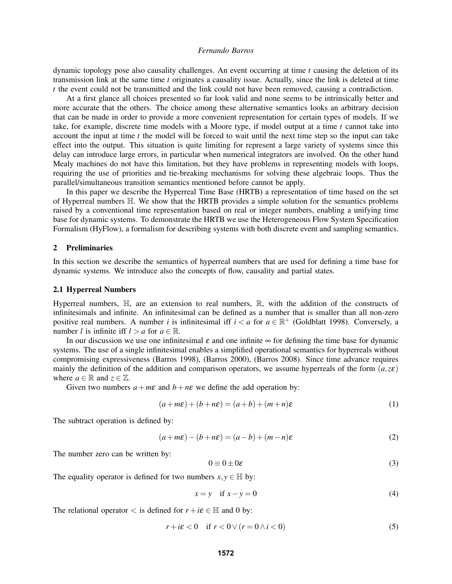dynamic topology pose also causality challenges. An event occurring at time *t* causing the deletion of its transmission link at the same time *t* originates a causality issue. Actually, since the link is deleted at time *t* the event could not be transmitted and the link could not have been removed, causing a contradiction.

At a first glance all choices presented so far look valid and none seems to be intrinsically better and more accurate that the others. The choice among these alternative semantics looks an arbitrary decision that can be made in order to provide a more convenient representation for certain types of models. If we take, for example, discrete time models with a Moore type, if model output at a time *t* cannot take into account the input at time *t* the model will be forced to wait until the next time step so the input can take effect into the output. This situation is quite limiting for represent a large variety of systems since this delay can introduce large errors, in particular when numerical integrators are involved. On the other hand Mealy machines do not have this limitation, but they have problems in representing models with loops, requiring the use of priorities and tie-breaking mechanisms for solving these algebraic loops. Thus the parallel/simultaneous transition semantics mentioned before cannot be apply.

In this paper we describe the Hyperreal Time Base (HRTB) a representation of time based on the set of Hyperreal numbers H. We show that the HRTB provides a simple solution for the semantics problems raised by a conventional time representation based on real or integer numbers, enabling a unifying time base for dynamic systems. To demonstrate the HRTB we use the Heterogeneous Flow System Specification Formalism (HyFlow), a formalism for describing systems with both discrete event and sampling semantics.

## 2 Preliminaries

In this section we describe the semantics of hyperreal numbers that are used for defining a time base for dynamic systems. We introduce also the concepts of flow, causality and partial states.

#### 2.1 Hyperreal Numbers

Hyperreal numbers, H, are an extension to real numbers, R, with the addition of the constructs of infinitesimals and infinite. An infinitesimal can be defined as a number that is smaller than all non-zero positive real numbers. A number *i* is infinitesimal iff  $i < a$  for  $a \in \mathbb{R}^+$  (Goldblatt 1998). Conversely, a number *l* is infinite iff  $l > a$  for  $a \in \mathbb{R}$ .

In our discussion we use one infinitesimal  $\varepsilon$  and one infinite  $\infty$  for defining the time base for dynamic systems. The use of a single infinitesimal enables a simplified operational semantics for hyperreals without compromising expressiveness (Barros 1998), (Barros 2000), (Barros 2008). Since time advance requires mainly the definition of the addition and comparison operators, we assume hyperreals of the form  $(a, z\varepsilon)$ where  $a \in \mathbb{R}$  and  $z \in \mathbb{Z}$ .

Given two numbers  $a + m\varepsilon$  and  $b + n\varepsilon$  we define the add operation by:

$$
(a+m\varepsilon) + (b+n\varepsilon) = (a+b) + (m+n)\varepsilon
$$
\n(1)

The subtract operation is defined by:

$$
(a+m\varepsilon)-(b+n\varepsilon)=(a-b)+(m-n)\varepsilon
$$
\n(2)

The number zero can be written by:

$$
0 \equiv 0 \pm 0\varepsilon \tag{3}
$$

The equality operator is defined for two numbers  $x, y \in \mathbb{H}$  by:

$$
x = y \quad \text{if } x - y = 0 \tag{4}
$$

The relational operator  $\lt$  is defined for  $r + i\varepsilon \in \mathbb{H}$  and 0 by:

$$
r + i\varepsilon < 0 \quad \text{if } r < 0 \lor (r = 0 \land i < 0) \tag{5}
$$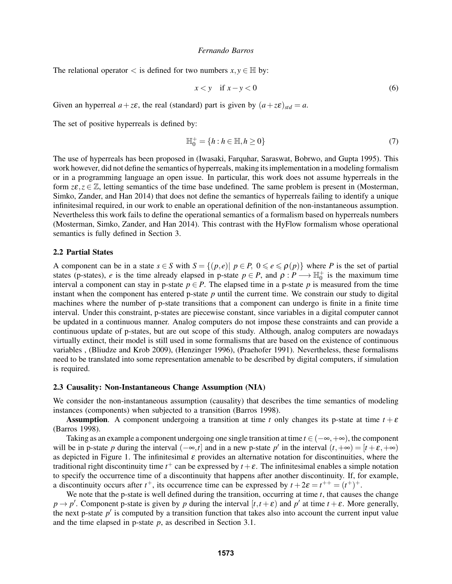The relational operator  $\lt$  is defined for two numbers  $x, y \in \mathbb{H}$  by:

$$
x < y \quad \text{if } x - y < 0 \tag{6}
$$

Given an hyperreal  $a + z\varepsilon$ , the real (standard) part is given by  $(a + z\varepsilon)_{std} = a$ .

The set of positive hyperreals is defined by:

$$
\mathbb{H}_0^+ = \{h : h \in \mathbb{H}, h \ge 0\}
$$
\n<sup>(7)</sup>

The use of hyperreals has been proposed in (Iwasaki, Farquhar, Saraswat, Bobrwo, and Gupta 1995). This work however, did not define the semantics of hyperreals, making its implementation in a modeling formalism or in a programming language an open issue. In particular, this work does not assume hyperreals in the form  $z\epsilon, z \in \mathbb{Z}$ , letting semantics of the time base undefined. The same problem is present in (Mosterman, Simko, Zander, and Han 2014) that does not define the semantics of hyperreals failing to identify a unique infinitesimal required, in our work to enable an operational definition of the non-instantaneous assumption. Nevertheless this work fails to define the operational semantics of a formalism based on hyperreals numbers (Mosterman, Simko, Zander, and Han 2014). This contrast with the HyFlow formalism whose operational semantics is fully defined in Section 3.

#### 2.2 Partial States

A component can be in a state  $s \in S$  with  $S = \{(p,e) | p \in P, 0 \le e \le \rho(p)\}$  where P is the set of partial states (p-states), *e* is the time already elapsed in p-state  $p \in P$ , and  $\rho : P \longrightarrow \mathbb{H}_0^+$  is the maximum time interval a component can stay in p-state  $p \in P$ . The elapsed time in a p-state p is measured from the time instant when the component has entered p-state *p* until the current time. We constrain our study to digital machines where the number of p-state transitions that a component can undergo is finite in a finite time interval. Under this constraint, p-states are piecewise constant, since variables in a digital computer cannot be updated in a continuous manner. Analog computers do not impose these constraints and can provide a continuous update of p-states, but are out scope of this study. Although, analog computers are nowadays virtually extinct, their model is still used in some formalisms that are based on the existence of continuous variables , (Bliudze and Krob 2009), (Henzinger 1996), (Praehofer 1991). Nevertheless, these formalisms need to be translated into some representation amenable to be described by digital computers, if simulation is required.

#### 2.3 Causality: Non-Instantaneous Change Assumption (NIA)

We consider the non-instantaneous assumption (causality) that describes the time semantics of modeling instances (components) when subjected to a transition (Barros 1998).

**Assumption.** A component undergoing a transition at time *t* only changes its p-state at time  $t + \varepsilon$ (Barros 1998).

Taking as an example a component undergoing one single transition at time  $t \in (-\infty, +\infty)$ , the component will be in p-state *p* during the interval  $(-\infty, t]$  and in a new p-state *p'* in the interval  $(t, +\infty) = [t + \varepsilon, +\infty)$ as depicted in Figure 1. The infinitesimal  $\varepsilon$  provides an alternative notation for discontinuities, where the traditional right discontinuity time  $t^+$  can be expressed by  $t + \varepsilon$ . The infinitesimal enables a simple notation to specify the occurrence time of a discontinuity that happens after another discontinuity. If, for example, a discontinuity occurs after  $t^+$ , its occurrence time can be expressed by  $t + 2\varepsilon = t^{++} = (t^+)^+$ .

We note that the p-state is well defined during the transition, occurring at time *t*, that causes the change  $p \rightarrow p'$ . Component p-state is given by *p* during the interval  $[t, t + \varepsilon)$  and  $p'$  at time  $t + \varepsilon$ . More generally, the next p-state  $p'$  is computed by a transition function that takes also into account the current input value and the time elapsed in p-state *p*, as described in Section 3.1.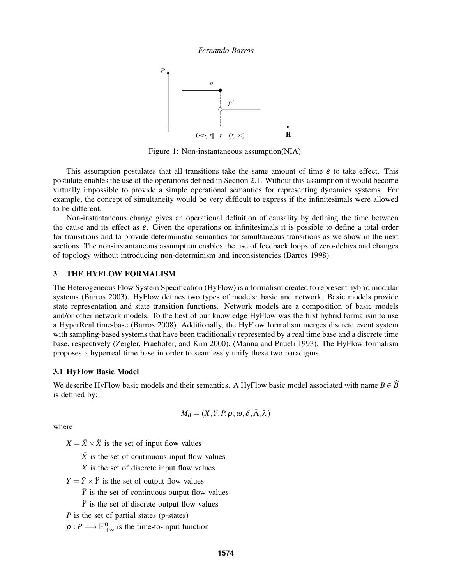

Figure 1: Non-instantaneous assumption(NIA).

This assumption postulates that all transitions take the same amount of time  $\varepsilon$  to take effect. This postulate enables the use of the operations defined in Section 2.1. Without this assumption it would become virtually impossible to provide a simple operational semantics for representing dynamics systems. For example, the concept of simultaneity would be very difficult to express if the infinitesimals were allowed to be different.

Non-instantaneous change gives an operational definition of causality by defining the time between the cause and its effect as  $\varepsilon$ . Given the operations on infinitesimals it is possible to define a total order for transitions and to provide deterministic semantics for simultaneous transitions as we show in the next sections. The non-instantaneous assumption enables the use of feedback loops of zero-delays and changes of topology without introducing non-determinism and inconsistencies (Barros 1998).

#### 3 THE HYFLOW FORMALISM

The Heterogeneous Flow System Specification (HyFlow) is a formalism created to represent hybrid modular systems (Barros 2003). HyFlow defines two types of models: basic and network. Basic models provide state representation and state transition functions. Network models are a composition of basic models and/or other network models. To the best of our knowledge HyFlow was the first hybrid formalism to use a HyperReal time-base (Barros 2008). Additionally, the HyFlow formalism merges discrete event system with sampling-based systems that have been traditionally represented by a real time base and a discrete time base, respectively (Zeigler, Praehofer, and Kim 2000), (Manna and Pnueli 1993). The HyFlow formalism proposes a hyperreal time base in order to seamlessly unify these two paradigms.

#### 3.1 HyFlow Basic Model

We describe HyFlow basic models and their semantics. A HyFlow basic model associated with name  $B \in \widehat{B}$ is defined by:

$$
M_B=(X,Y,P,\rho,\omega,\delta,\bar{\Lambda},\lambda)
$$

where

 $X = \overline{X} \times \overline{X}$  is the set of input flow values

 $\bar{X}$  is the set of continuous input flow values

 $\ddot{X}$  is the set of discrete input flow values

 $Y = \overline{Y} \times \overline{Y}$  is the set of output flow values

 $\bar{Y}$  is the set of continuous output flow values

 $\ddot{Y}$  is the set of discrete output flow values

*P* is the set of partial states (p-states)

 $\rho: P \longrightarrow \mathbb{H}^0_{+\infty}$  is the time-to-input function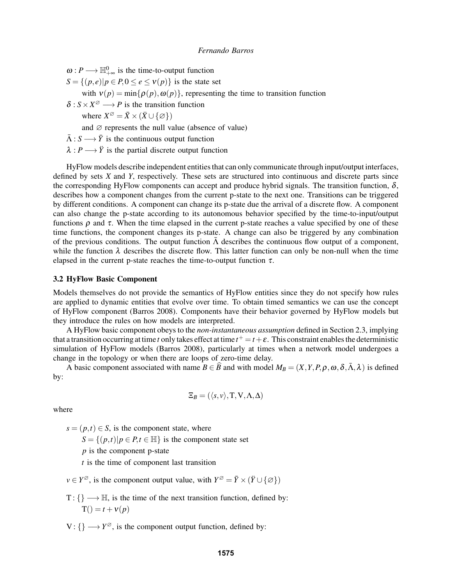- $\omega: P \longrightarrow \mathbb{H}^0_{+\infty}$  is the time-to-output function
- $S = \{(p, e) | p \in P, 0 \le e \le v(p) \}$  is the state set

with  $v(p) = min\{\rho(p), \omega(p)\}\$ , representing the time to transition function

- $\delta$ :  $S \times X^{\emptyset} \longrightarrow P$  is the transition function
	- where  $X^{\emptyset} = \overline{X} \times (\overline{X} \cup {\emptyset})$

and  $\varnothing$  represents the null value (absence of value)

- $\bar{\Lambda}: S \longrightarrow \bar{Y}$  is the continuous output function
- $\lambda$ : *P* →  $\ddot{Y}$  is the partial discrete output function

HyFlow models describe independent entities that can only communicate through input/output interfaces, defined by sets *X* and *Y*, respectively. These sets are structured into continuous and discrete parts since the corresponding HyFlow components can accept and produce hybrid signals. The transition function,  $\delta$ , describes how a component changes from the current p-state to the next one. Transitions can be triggered by different conditions. A component can change its p-state due the arrival of a discrete flow. A component can also change the p-state according to its autonomous behavior specified by the time-to-input/output functions  $\rho$  and  $\tau$ . When the time elapsed in the current p-state reaches a value specified by one of these time functions, the component changes its p-state. A change can also be triggered by any combination of the previous conditions. The output function  $\overline{\Lambda}$  describes the continuous flow output of a component, while the function  $\lambda$  describes the discrete flow. This latter function can only be non-null when the time elapsed in the current p-state reaches the time-to-output function  $\tau$ .

## 3.2 HyFlow Basic Component

Models themselves do not provide the semantics of HyFlow entities since they do not specify how rules are applied to dynamic entities that evolve over time. To obtain timed semantics we can use the concept of HyFlow component (Barros 2008). Components have their behavior governed by HyFlow models but they introduce the rules on how models are interpreted.

A HyFlow basic component obeys to the *non-instantaneous assumption* defined in Section 2.3, implying that a transition occurring at time *t* only takes effect at time  $t^+ = t + \varepsilon$ . This constraint enables the deterministic simulation of HyFlow models (Barros 2008), particularly at times when a network model undergoes a change in the topology or when there are loops of zero-time delay.

A basic component associated with name  $B \in \widehat{B}$  and with model  $M_B = (X, Y, P, \rho, \omega, \delta, \overline{\Lambda}, \lambda)$  is defined by:

$$
\Xi_B = (\langle s, v \rangle, T, V, \Lambda, \Delta)
$$

where

 $s = (p,t) \in S$ , is the component state, where

 $S = \{(p,t)|p \in P, t \in \mathbb{H}\}\$ is the component state set

*p* is the component p-state

*t* is the time of component last transition

 $v \in Y^{\emptyset}$ , is the component output value, with  $Y^{\emptyset} = \overline{Y} \times (\overline{Y} \cup \{\emptyset\})$ 

- $T: \{\} \longrightarrow \mathbb{H}$ , is the time of the next transition function, defined by:  $T() = t + v(p)$
- $V: \{\}\longrightarrow Y^{\emptyset}$ , is the component output function, defined by: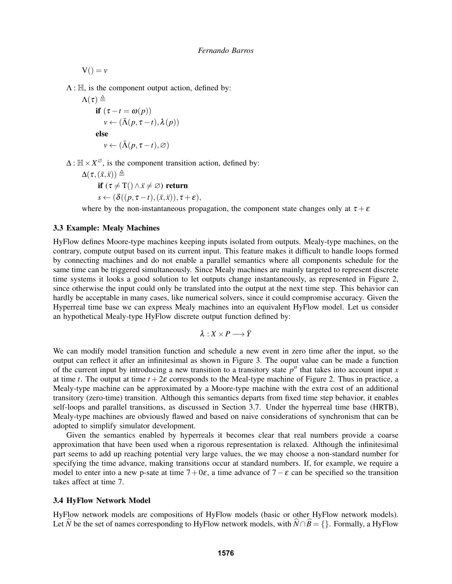$V() = v$ 

 $\Lambda$ : H, is the component output action, defined by:

$$
\Lambda(\tau) \triangleq \textbf{if } (\tau - t = \omega(p))
$$
  

$$
v \leftarrow (\bar{\Lambda}(p, \tau - t), \lambda(p))
$$
  
else  

$$
v \leftarrow (\bar{\Lambda}(p, \tau - t), \varnothing)
$$

 $\Delta : \mathbb{H} \times X^{\emptyset}$ , is the component transition action, defined by:

 $\Delta(\tau,(\bar{x},\bar{x})) \triangleq$ if  $(τ ≠ T() ∧ *x* ≠ ∅)$  return  $s \leftarrow (\delta((p, \tau - t), (\bar{x}, \ddot{x})), \tau + \varepsilon),$ 

where by the non-instantaneous propagation, the component state changes only at  $\tau + \varepsilon$ 

#### 3.3 Example: Mealy Machines

HyFlow defines Moore-type machines keeping inputs isolated from outputs. Mealy-type machines, on the contrary, compute output based on its current input. This feature makes it difficult to handle loops formed by connecting machines and do not enable a parallel semantics where all components schedule for the same time can be triggered simultaneously. Since Mealy machines are mainly targeted to represent discrete time systems it looks a good solution to let outputs change instantaneously, as represented in Figure 2, since otherwise the input could only be translated into the output at the next time step. This behavior can hardly be acceptable in many cases, like numerical solvers, since it could compromise accuracy. Given the Hyperreal time base we can express Mealy machines into an equivalent HyFlow model. Let us consider an hypothetical Mealy-type HyFlow discrete output function defined by:

$$
\lambda:X\times P\longrightarrow \ddot{Y}
$$

We can modify model transition function and schedule a new event in zero time after the input, so the output can reflect it after an infinitesimal as shown in Figure 3. The ouput value can be made a function of the current input by introducing a new transition to a transitory state  $p''$  that takes into account input *x* at time *t*. The output at time  $t + 2\varepsilon$  corresponds to the Meal-type machine of Figure 2. Thus in practice, a Mealy-type machine can be approximated by a Moore-type machine with the extra cost of an additional transitory (zero-time) transition. Although this semantics departs from fixed time step behavior, it enables self-loops and parallel transitions, as discussed in Section 3.7. Under the hyperreal time base (HRTB), Mealy-type machines are obviously flawed and based on naive considerations of synchronism that can be adopted to simplify simulator development.

Given the semantics enabled by hyperreals it becomes clear that real numbers provide a coarse approximation that have been used when a rigorous representation is relaxed. Although the infinitesimal part seems to add up reaching potential very large values, the we may choose a non-standard number for specifying the time advance, making transitions occur at standard numbers. If, for example, we require a model to enter into a new p-sate at time  $7+0\varepsilon$ , a time advance of  $7-\varepsilon$  can be specified so the transition takes affect at time 7.

#### 3.4 HyFlow Network Model

HyFlow network models are compositions of HyFlow models (basic or other HyFlow network models). Let  $\hat{N}$  be the set of names corresponding to HyFlow network models, with  $\hat{N} \cap \hat{B} = \{\}$ . Formally, a HyFlow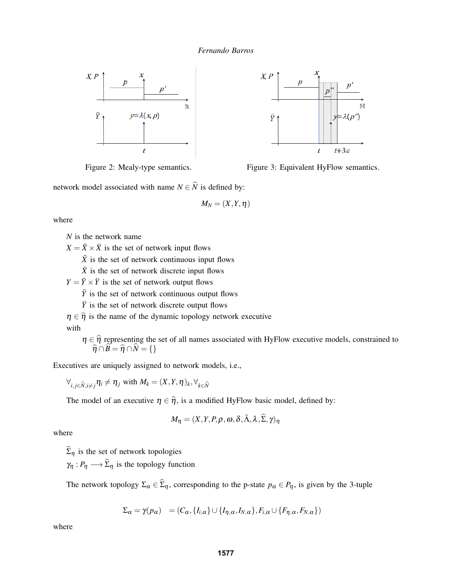

Figure 2: Mealy-type semantics. Figure 3: Equivalent HyFlow semantics.

network model associated with name  $N \in \hat{N}$  is defined by:

$$
M_N=(X,Y,\eta)
$$

where

*N* is the network name

 $X = \overline{X} \times \overline{X}$  is the set of network input flows

 $\bar{X}$  is the set of network continuous input flows

 $\ddot{X}$  is the set of network discrete input flows

 $Y = \overline{Y} \times \overline{Y}$  is the set of network output flows

 $\bar{Y}$  is the set of network continuous output flows

 $\ddot{y}$  is the set of network discrete output flows

 $\eta \in \hat{\eta}$  is the name of the dynamic topology network executive

with

$$
\eta \in \widehat{\eta}
$$
 representing the set of all names associated with HyFlow executive models, constrained to  $\widehat{\eta} \cap \widehat{B} = \widehat{\eta} \cap \widehat{N} = \{\}$ 

Executives are uniquely assigned to network models, i.e.,

 $\forall_{i,j\in\widehat{N},i\neq j}$   $\eta_i \neq \eta_j$  with  $M_k = (X,Y,\eta)_k, \forall_{k\in\widehat{N}}$ 

The model of an executive  $\eta \in \hat{\eta}$ , is a modified HyFlow basic model, defined by:

$$
M_{\eta} = (X, Y, P, \rho, \omega, \delta, \bar{\Lambda}, \lambda, \widehat{\Sigma}, \gamma)_{\eta}
$$

where

 $\widehat{\Sigma}_{\eta}$  is the set of network topologies

 $\gamma_{\eta}: P_{\eta} \longrightarrow \widehat{\Sigma}_{\eta}$  is the topology function

The network topology  $\Sigma_{\alpha} \in \widehat{\Sigma}_{\eta}$ , corresponding to the p-state  $p_{\alpha} \in P_{\eta}$ , is given by the 3-tuple

$$
\Sigma_{\alpha} = \gamma(p_{\alpha}) = (C_{\alpha}, \{I_{i,\alpha}\} \cup \{I_{\eta,\alpha}, I_{N,\alpha}\}, F_{i,\alpha} \cup \{F_{\eta,\alpha}, F_{N,\alpha}\})
$$

where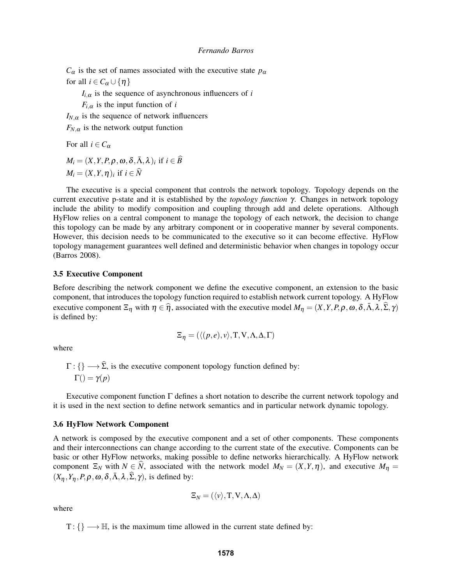$C_{\alpha}$  is the set of names associated with the executive state  $p_{\alpha}$ for all  $i \in C_\alpha \cup \{\eta\}$ 

 $I_{i,\alpha}$  is the sequence of asynchronous influencers of *i* 

 $F_{i,\alpha}$  is the input function of *i* 

 $I_{N,\alpha}$  is the sequence of network influencers

 $F_{N,\alpha}$  is the network output function

For all 
$$
i \in C_{\alpha}
$$
  
\n
$$
M_i = (X, Y, P, \rho, \omega, \delta, \bar{\Lambda}, \lambda)_i \text{ if } i \in \widehat{B}
$$
\n
$$
M_i = (X, Y, \eta)_i \text{ if } i \in \widehat{N}
$$

The executive is a special component that controls the network topology. Topology depends on the current executive p-state and it is established by the *topology function* γ. Changes in network topology include the ability to modify composition and coupling through add and delete operations. Although HyFlow relies on a central component to manage the topology of each network, the decision to change this topology can be made by any arbitrary component or in cooperative manner by several components. However, this decision needs to be communicated to the executive so it can become effective. HyFlow topology management guarantees well defined and deterministic behavior when changes in topology occur (Barros 2008).

#### 3.5 Executive Component

Before describing the network component we define the executive component, an extension to the basic component, that introduces the topology function required to establish network current topology. A HyFlow executive component  $\Xi_{\eta}$  with  $\eta \in \hat{\eta}$ , associated with the executive model  $M_{\eta} = (X, Y, P, \rho, \omega, \delta, \bar{\Lambda}, \lambda, \hat{\Sigma}, \gamma)$ is defined by:

$$
\Xi_{\eta}=(\langle (p,e),v\rangle,\mathrm{T},\mathrm{V},\Lambda,\Delta,\Gamma)
$$

where

 $\Gamma: \{\} \longrightarrow \widehat{\Sigma}$ , is the executive component topology function defined by:  $\Gamma() = \gamma(p)$ 

Executive component function  $\Gamma$  defines a short notation to describe the current network topology and it is used in the next section to define network semantics and in particular network dynamic topology.

#### 3.6 HyFlow Network Component

A network is composed by the executive component and a set of other components. These components and their interconnections can change according to the current state of the executive. Components can be basic or other HyFlow networks, making possible to define networks hierarchically. A HyFlow network component  $\Xi_N$  with  $N \in \hat{N}$ , associated with the network model  $M_N = (X, Y, \eta)$ , and executive  $M_\eta =$  $(X_n, Y_n, P, \rho, \omega, \delta, \bar{\Lambda}, \lambda, \hat{\Sigma}, \gamma)$ , is defined by:

$$
\Xi_N = (\langle \nu \rangle, \mathrm{T}, \mathrm{V}, \Lambda, \Delta)
$$

where

T:  $\{\}\longrightarrow\mathbb{H}$ , is the maximum time allowed in the current state defined by: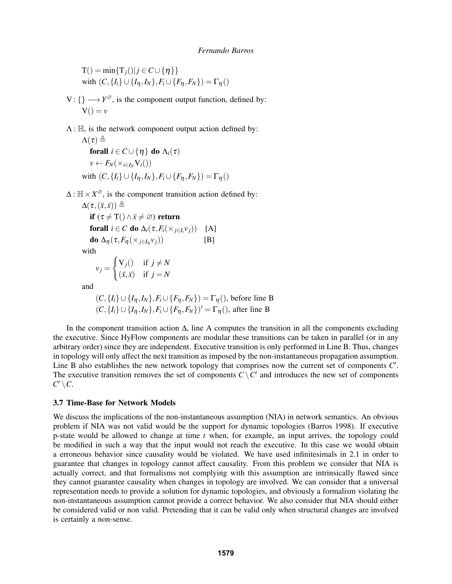$$
T() = min{Tj()|j \in C \cup {\eta}}
$$
  
with  $(C, {Ii} \cup {Iη, IN}, Fi \cup {Fη, FN}) = Γη()$ 

- $V: \{\} \longrightarrow Y^{\emptyset}$ , is the component output function, defined by:  $V() = v$
- $\Lambda$ : H, is the network component output action defined by:

$$
\Lambda(\tau) \triangleq
$$
  
\n**forall**  $i \in C \cup \{\eta\}$  **do**  $\Lambda_i(\tau)$   
\n $v \leftarrow F_N(\times_{i \in I_N} V_i())$   
\nwith  $(C, \{I_i\} \cup \{I_\eta, I_N\}, F_i \cup \{F_\eta, F_N\}) = \Gamma_\eta()$ 

 $\Delta: \mathbb{H} \times X^{\emptyset}$ , is the component transition action defined by:

 $\Delta(\tau,(\bar{x},\bar{x})) \triangleq$ if  $(τ \neq T() \land \ddot{x} \neq \emptyset)$  return **forall**  $i \in C$  **do**  $\Delta_i(\tau, F_i(\times_{j \in I_i} v_j))$  [A] **do**  $\Delta_{\eta}(\tau, F_{\eta}(\times_{j\in I_{\eta}} v_j))$  [B]

with

$$
v_j = \begin{cases} V_j() & \text{if } j \neq N \\ (\bar{x}, \ddot{x}) & \text{if } j = N \end{cases}
$$

and

$$
(C, \{I_i\} \cup \{I_\eta, I_N\}, F_i \cup \{F_\eta, F_N\}) = \Gamma_\eta(), \text{ before line B} (C, \{I_i\} \cup \{I_\eta, I_N\}, F_i \cup \{F_\eta, F_N\})' = \Gamma_\eta(), \text{ after line B}
$$

In the component transition action ∆, line A computes the transition in all the components excluding the executive. Since HyFlow components are modular these transitions can be taken in parallel (or in any arbitrary order) since they are independent. Executive transition is only performed in Line B. Thus, changes in topology will only affect the next transition as imposed by the non-instantaneous propagation assumption. Line B also establishes the new network topology that comprises now the current set of components *C'*. The executive transition removes the set of components  $C\setminus\overline{C}'$  and introduces the new set of components  $C' \setminus C$ .

## 3.7 Time-Base for Network Models

We discuss the implications of the non-instantaneous assumption (NIA) in network semantics. An obvious problem if NIA was not valid would be the support for dynamic topologies (Barros 1998). If executive p-state would be allowed to change at time *t* when, for example, an input arrives, the topology could be modified in such a way that the input would not reach the executive. In this case we would obtain a erroneous behavior since causality would be violated. We have used infinitesimals in 2.1 in order to guarantee that changes in topology cannot affect causality. From this problem we consider that NIA is actually correct, and that formalisms not complying with this assumption are intrinsically flawed since they cannot guarantee causality when changes in topology are involved. We can consider that a universal representation needs to provide a solution for dynamic topologies, and obviously a formalism violating the non-instantaneous assumption cannot provide a correct behavior. We also consider that NIA should either be considered valid or non valid. Pretending that it can be valid only when structural changes are involved is certainly a non-sense.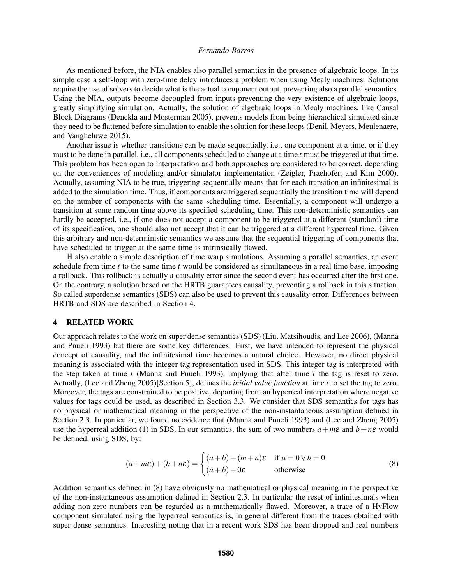As mentioned before, the NIA enables also parallel semantics in the presence of algebraic loops. In its simple case a self-loop with zero-time delay introduces a problem when using Mealy machines. Solutions require the use of solvers to decide what is the actual component output, preventing also a parallel semantics. Using the NIA, outputs become decoupled from inputs preventing the very existence of algebraic-loops, greatly simplifying simulation. Actually, the solution of algebraic loops in Mealy machines, like Causal Block Diagrams (Denckla and Mosterman 2005), prevents models from being hierarchical simulated since they need to be flattened before simulation to enable the solution for these loops (Denil, Meyers, Meulenaere, and Vangheluwe 2015).

Another issue is whether transitions can be made sequentially, i.e., one component at a time, or if they must to be done in parallel, i.e., all components scheduled to change at a time *t* must be triggered at that time. This problem has been open to interpretation and both approaches are considered to be correct, depending on the conveniences of modeling and/or simulator implementation (Zeigler, Praehofer, and Kim 2000). Actually, assuming NIA to be true, triggering sequentially means that for each transition an infinitesimal is added to the simulation time. Thus, if components are triggered sequentially the transition time will depend on the number of components with the same scheduling time. Essentially, a component will undergo a transition at some random time above its specified scheduling time. This non-deterministic semantics can hardly be accepted, i.e., if one does not accept a component to be triggered at a different (standard) time of its specification, one should also not accept that it can be triggered at a different hyperreal time. Given this arbitrary and non-deterministic semantics we assume that the sequential triggering of components that have scheduled to trigger at the same time is intrinsically flawed.

 $\mathbb H$  also enable a simple description of time warp simulations. Assuming a parallel semantics, an event schedule from time *t* to the same time *t* would be considered as simultaneous in a real time base, imposing a rollback. This rollback is actually a causality error since the second event has occurred after the first one. On the contrary, a solution based on the HRTB guarantees causality, preventing a rollback in this situation. So called superdense semantics (SDS) can also be used to prevent this causality error. Differences between HRTB and SDS are described in Section 4.

## 4 RELATED WORK

Our approach relates to the work on super dense semantics (SDS) (Liu, Matsihoudis, and Lee 2006), (Manna and Pnueli 1993) but there are some key differences. First, we have intended to represent the physical concept of causality, and the infinitesimal time becomes a natural choice. However, no direct physical meaning is associated with the integer tag representation used in SDS. This integer tag is interpreted with the step taken at time *t* (Manna and Pnueli 1993), implying that after time *t* the tag is reset to zero. Actually, (Lee and Zheng 2005)[Section 5], defines the *initial value function* at time *t* to set the tag to zero. Moreover, the tags are constrained to be positive, departing from an hyperreal interpretation where negative values for tags could be used, as described in Section 3.3. We consider that SDS semantics for tags has no physical or mathematical meaning in the perspective of the non-instantaneous assumption defined in Section 2.3. In particular, we found no evidence that (Manna and Pnueli 1993) and (Lee and Zheng 2005) use the hyperreal addition (1) in SDS. In our semantics, the sum of two numbers  $a + m\epsilon$  and  $b + n\epsilon$  would be defined, using SDS, by:

$$
(a+m\varepsilon) + (b+n\varepsilon) = \begin{cases} (a+b) + (m+n)\varepsilon & \text{if } a = 0 \lor b = 0\\ (a+b) + 0\varepsilon & \text{otherwise} \end{cases}
$$
(8)

Addition semantics defined in (8) have obviously no mathematical or physical meaning in the perspective of the non-instantaneous assumption defined in Section 2.3. In particular the reset of infinitesimals when adding non-zero numbers can be regarded as a mathematically flawed. Moreover, a trace of a HyFlow component simulated using the hyperreal semantics is, in general different from the traces obtained with super dense semantics. Interesting noting that in a recent work SDS has been dropped and real numbers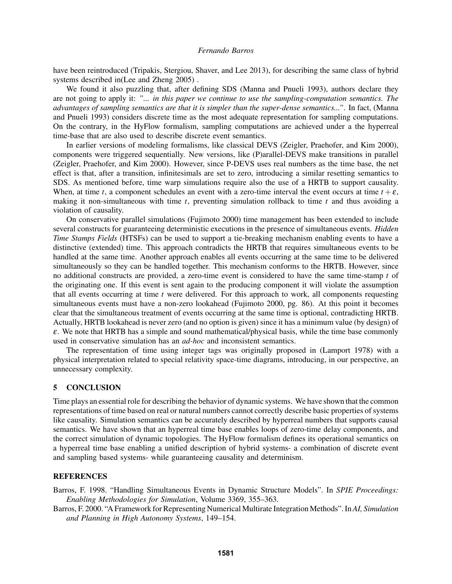have been reintroduced (Tripakis, Stergiou, Shaver, and Lee 2013), for describing the same class of hybrid systems described in(Lee and Zheng 2005) .

We found it also puzzling that, after defining SDS (Manna and Pnueli 1993), authors declare they are not going to apply it: *"... in this paper we continue to use the sampling-computation semantics. The advantages of sampling semantics are that it is simpler than the super-dense semantics..."*. In fact, (Manna and Pnueli 1993) considers discrete time as the most adequate representation for sampling computations. On the contrary, in the HyFlow formalism, sampling computations are achieved under a the hyperreal time-base that are also used to describe discrete event semantics.

In earlier versions of modeling formalisms, like classical DEVS (Zeigler, Praehofer, and Kim 2000), components were triggered sequentially. New versions, like (P)arallel-DEVS make transitions in parallel (Zeigler, Praehofer, and Kim 2000). However, since P-DEVS uses real numbers as the time base, the net effect is that, after a transition, infinitesimals are set to zero, introducing a similar resetting semantics to SDS. As mentioned before, time warp simulations require also the use of a HRTB to support causality. When, at time *t*, a component schedules an event with a zero-time interval the event occurs at time  $t + \varepsilon$ , making it non-simultaneous with time *t*, preventing simulation rollback to time *t* and thus avoiding a violation of causality.

On conservative parallel simulations (Fujimoto 2000) time management has been extended to include several constructs for guaranteeing deterministic executions in the presence of simultaneous events. *Hidden Time Stamps Fields* (HTSFs) can be used to support a tie-breaking mechanism enabling events to have a distinctive (extended) time. This approach contradicts the HRTB that requires simultaneous events to be handled at the same time. Another approach enables all events occurring at the same time to be delivered simultaneously so they can be handled together. This mechanism conforms to the HRTB. However, since no additional constructs are provided, a zero-time event is considered to have the same time-stamp *t* of the originating one. If this event is sent again to the producing component it will violate the assumption that all events occurring at time *t* were delivered. For this approach to work, all components requesting simultaneous events must have a non-zero lookahead (Fujimoto 2000, pg. 86). At this point it becomes clear that the simultaneous treatment of events occurring at the same time is optional, contradicting HRTB. Actually, HRTB lookahead is never zero (and no option is given) since it has a minimum value (by design) of  $\varepsilon$ . We note that HRTB has a simple and sound mathematical/physical basis, while the time base commonly used in conservative simulation has an *ad-hoc* and inconsistent semantics.

The representation of time using integer tags was originally proposed in (Lamport 1978) with a physical interpretation related to special relativity space-time diagrams, introducing, in our perspective, an unnecessary complexity.

# 5 CONCLUSION

Time plays an essential role for describing the behavior of dynamic systems. We have shown that the common representations of time based on real or natural numbers cannot correctly describe basic properties of systems like causality. Simulation semantics can be accurately described by hyperreal numbers that supports causal semantics. We have shown that an hyperreal time base enables loops of zero-time delay components, and the correct simulation of dynamic topologies. The HyFlow formalism defines its operational semantics on a hyperreal time base enabling a unified description of hybrid systems- a combination of discrete event and sampling based systems- while guaranteeing causality and determinism.

### **REFERENCES**

Barros, F. 1998. "Handling Simultaneous Events in Dynamic Structure Models". In *SPIE Proceedings: Enabling Methodologies for Simulation*, Volume 3369, 355–363.

Barros, F. 2000. "A Framework for Representing Numerical Multirate Integration Methods". In *AI, Simulation and Planning in High Autonomy Systems*, 149–154.